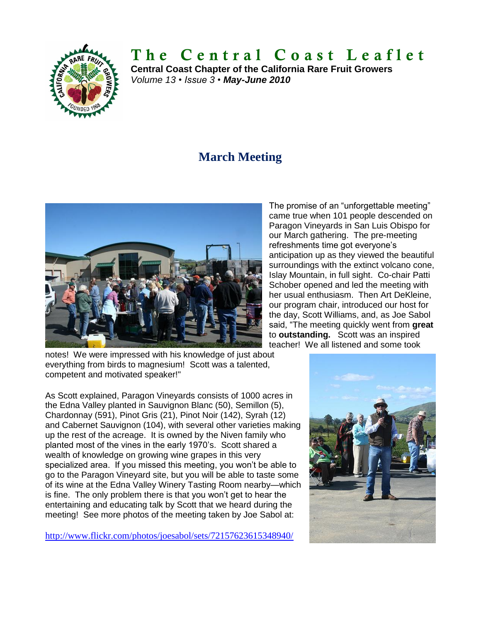

# **T h e C e n t r a l C o a s t L e a f l e t**

**Central Coast Chapter of the California Rare Fruit Growers** *Volume 13 • Issue 3 • May-June 2010*

# **March Meeting**



The promise of an "unforgettable meeting" came true when 101 people descended on Paragon Vineyards in San Luis Obispo for our March gathering. The pre-meeting refreshments time got everyone's anticipation up as they viewed the beautiful surroundings with the extinct volcano cone, Islay Mountain, in full sight. Co-chair Patti Schober opened and led the meeting with her usual enthusiasm. Then Art DeKleine, our program chair, introduced our host for the day, Scott Williams, and, as Joe Sabol said, "The meeting quickly went from **great** to **outstanding.** Scott was an inspired teacher! We all listened and some took

notes! We were impressed with his knowledge of just about everything from birds to magnesium! Scott was a talented, competent and motivated speaker!"

As Scott explained, Paragon Vineyards consists of 1000 acres in the Edna Valley planted in Sauvignon Blanc (50), Semillon (5), Chardonnay (591), Pinot Gris (21), Pinot Noir (142), Syrah (12) and Cabernet Sauvignon (104), with several other varieties making up the rest of the acreage. It is owned by the Niven family who planted most of the vines in the early 1970's. Scott shared a wealth of knowledge on growing wine grapes in this very specialized area. If you missed this meeting, you won't be able to go to the Paragon Vineyard site, but you will be able to taste some of its wine at the Edna Valley Winery Tasting Room nearby—which is fine. The only problem there is that you won't get to hear the entertaining and educating talk by Scott that we heard during the meeting! See more photos of the meeting taken by Joe Sabol at:

<http://www.flickr.com/photos/joesabol/sets/72157623615348940/>

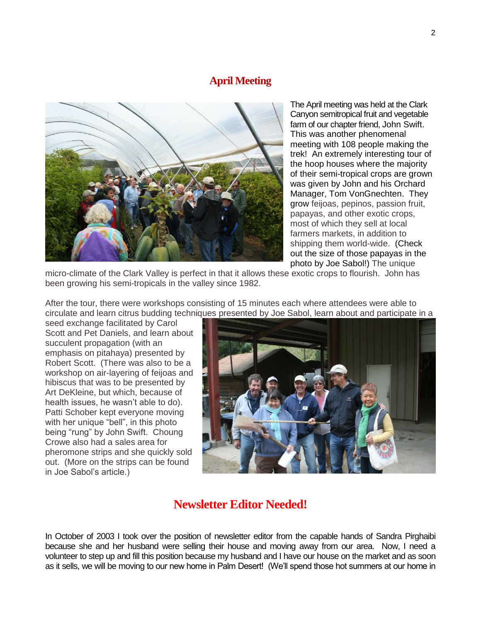#### **April Meeting**



The April meeting was held at the Clark Canyon semitropical fruit and vegetable farm of our chapter friend, John Swift. This was another phenomenal meeting with 108 people making the trek! An extremely interesting tour of the hoop houses where the majority of their semi-tropical crops are grown was given by John and his Orchard Manager, Tom VonGnechten. They grow feijoas, pepinos, passion fruit, papayas, and other exotic crops, most of which they sell at local farmers markets, in addition to shipping them world-wide. (Check out the size of those papayas in the photo by Joe Sabol!) The unique

micro-climate of the Clark Valley is perfect in that it allows these exotic crops to flourish. John has been growing his semi-tropicals in the valley since 1982.

After the tour, there were workshops consisting of 15 minutes each where attendees were able to circulate and learn citrus budding techniques presented by Joe Sabol, learn about and participate in a

seed exchange facilitated by Carol Scott and Pet Daniels, and learn about succulent propagation (with an emphasis on pitahaya) presented by Robert Scott. (There was also to be a workshop on air-layering of feijoas and hibiscus that was to be presented by Art DeKleine, but which, because of health issues, he wasn't able to do). Patti Schober kept everyone moving with her unique "bell", in this photo being "rung" by John Swift. Choung Crowe also had a sales area for pheromone strips and she quickly sold out. (More on the strips can be found in Joe Sabol's article.)



### **Newsletter Editor Needed!**

In October of 2003 I took over the position of newsletter editor from the capable hands of Sandra Pirghaibi because she and her husband were selling their house and moving away from our area. Now, I need a volunteer to step up and fill this position because my husband and I have our house on the market and as soon as it sells, we will be moving to our new home in Palm Desert! (We'll spend those hot summers at our home in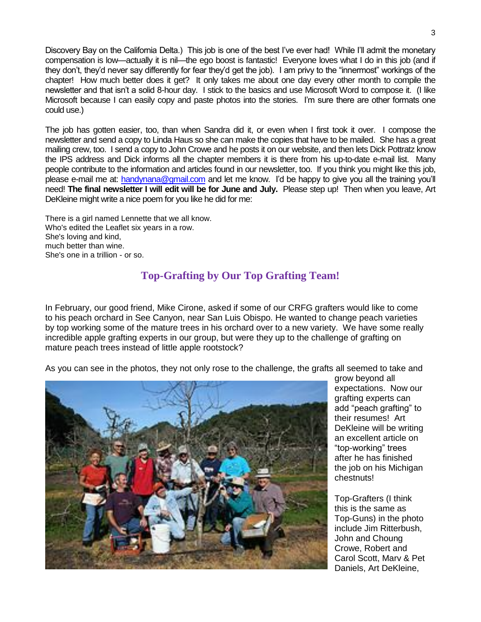Discovery Bay on the California Delta.) This job is one of the best I've ever had! While I'll admit the monetary compensation is low—actually it is nil—the ego boost is fantastic! Everyone loves what I do in this job (and if they don't, they'd never say differently for fear they'd get the job). I am privy to the "innermost" workings of the chapter! How much better does it get? It only takes me about one day every other month to compile the newsletter and that isn't a solid 8-hour day. I stick to the basics and use Microsoft Word to compose it. (I like Microsoft because I can easily copy and paste photos into the stories. I'm sure there are other formats one could use.)

The job has gotten easier, too, than when Sandra did it, or even when I first took it over. I compose the newsletter and send a copy to Linda Haus so she can make the copies that have to be mailed. She has a great mailing crew, too. I send a copy to John Crowe and he posts it on our website, and then lets Dick Pottratz know the IPS address and Dick informs all the chapter members it is there from his up-to-date e-mail list. Many people contribute to the information and articles found in our newsletter, too. If you think you might like this job, please e-mail me at: [handynana@gmail.com](mailto:handynana@gmail.com) and let me know. I'd be happy to give you all the training you'll need! **The final newsletter I will edit will be for June and July.** Please step up! Then when you leave, Art DeKleine might write a nice poem for you like he did for me:

There is a girl named Lennette that we all know. Who's edited the Leaflet six years in a row. She's loving and kind, much better than wine. She's one in a trillion - or so.

#### **Top-Grafting by Our Top Grafting Team!**

In February, our good friend, Mike Cirone, asked if some of our CRFG grafters would like to come to his peach orchard in See Canyon, near San Luis Obispo. He wanted to change peach varieties by top working some of the mature trees in his orchard over to a new variety. We have some really incredible apple grafting experts in our group, but were they up to the challenge of grafting on mature peach trees instead of little apple rootstock?

As you can see in the photos, they not only rose to the challenge, the grafts all seemed to take and



grow beyond all expectations. Now our grafting experts can add "peach grafting" to their resumes! Art DeKleine will be writing an excellent article on "top-working" trees after he has finished the job on his Michigan chestnuts!

Top-Grafters (I think this is the same as Top-Guns) in the photo include Jim Ritterbush, John and Choung Crowe, Robert and Carol Scott, Marv & Pet Daniels, Art DeKleine,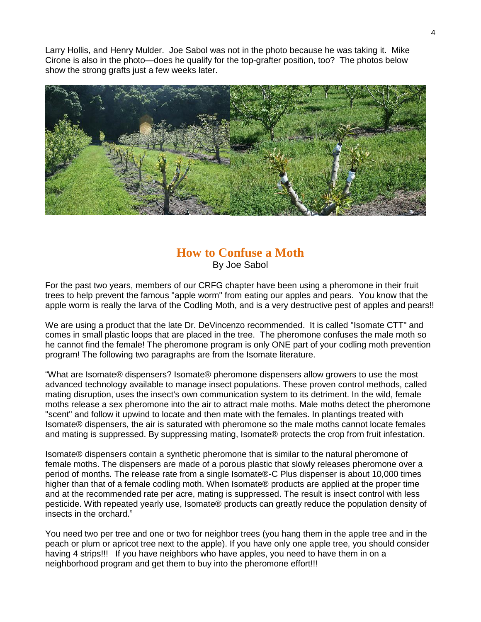Larry Hollis, and Henry Mulder. Joe Sabol was not in the photo because he was taking it. Mike Cirone is also in the photo—does he qualify for the top-grafter position, too? The photos below show the strong grafts just a few weeks later.



#### **How to Confuse a Moth** By Joe Sabol

For the past two years, members of our CRFG chapter have been using a pheromone in their fruit trees to help prevent the famous "apple worm" from eating our apples and pears. You know that the apple worm is really the larva of the Codling Moth, and is a very destructive pest of apples and pears!!

We are using a product that the late Dr. DeVincenzo recommended. It is called "Isomate CTT" and comes in small plastic loops that are placed in the tree. The pheromone confuses the male moth so he cannot find the female! The pheromone program is only ONE part of your codling moth prevention program! The following two paragraphs are from the Isomate literature.

"What are Isomate® dispensers? Isomate® pheromone dispensers allow growers to use the most advanced technology available to manage insect populations. These proven control methods, called mating disruption, uses the insect's own communication system to its detriment. In the wild, female moths release a sex pheromone into the air to attract male moths. Male moths detect the pheromone "scent" and follow it upwind to locate and then mate with the females. In plantings treated with Isomate® dispensers, the air is saturated with pheromone so the male moths cannot locate females and mating is suppressed. By suppressing mating, Isomate® protects the crop from fruit infestation.

Isomate® dispensers contain a synthetic pheromone that is similar to the natural pheromone of female moths. The dispensers are made of a porous plastic that slowly releases pheromone over a period of months. The release rate from a single Isomate®-C Plus dispenser is about 10,000 times higher than that of a female codling moth. When Isomate® products are applied at the proper time and at the recommended rate per acre, mating is suppressed. The result is insect control with less pesticide. With repeated yearly use, Isomate® products can greatly reduce the population density of insects in the orchard."

You need two per tree and one or two for neighbor trees (you hang them in the apple tree and in the peach or plum or apricot tree next to the apple). If you have only one apple tree, you should consider having 4 strips!!! If you have neighbors who have apples, you need to have them in on a neighborhood program and get them to buy into the pheromone effort!!!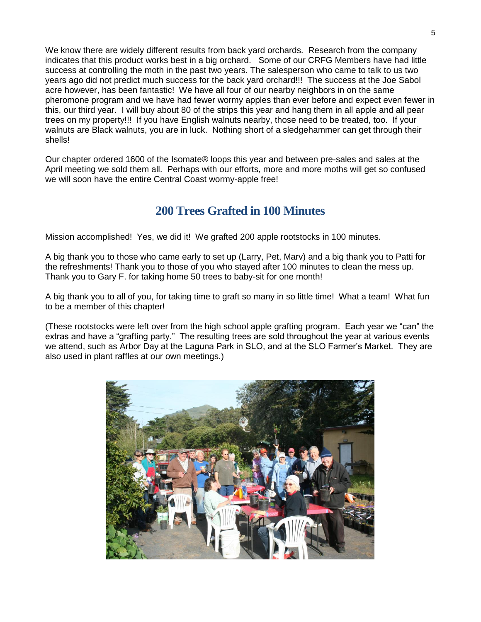We know there are widely different results from back yard orchards. Research from the company indicates that this product works best in a big orchard. Some of our CRFG Members have had little success at controlling the moth in the past two years. The salesperson who came to talk to us two years ago did not predict much success for the back yard orchard!!! The success at the Joe Sabol acre however, has been fantastic! We have all four of our nearby neighbors in on the same pheromone program and we have had fewer wormy apples than ever before and expect even fewer in this, our third year. I will buy about 80 of the strips this year and hang them in all apple and all pear trees on my property!!! If you have English walnuts nearby, those need to be treated, too. If your walnuts are Black walnuts, you are in luck. Nothing short of a sledgehammer can get through their shells!

Our chapter ordered 1600 of the Isomate® loops this year and between pre-sales and sales at the April meeting we sold them all. Perhaps with our efforts, more and more moths will get so confused we will soon have the entire Central Coast wormy-apple free!

## **200 Trees Grafted in 100 Minutes**

Mission accomplished! Yes, we did it! We grafted 200 apple rootstocks in 100 minutes.

A big thank you to those who came early to set up (Larry, Pet, Marv) and a big thank you to Patti for the refreshments! Thank you to those of you who stayed after 100 minutes to clean the mess up. Thank you to Gary F. for taking home 50 trees to baby-sit for one month!

A big thank you to all of you, for taking time to graft so many in so little time! What a team! What fun to be a member of this chapter!

(These rootstocks were left over from the high school apple grafting program. Each year we "can" the extras and have a "grafting party." The resulting trees are sold throughout the year at various events we attend, such as Arbor Day at the Laguna Park in SLO, and at the SLO Farmer's Market. They are also used in plant raffles at our own meetings.)

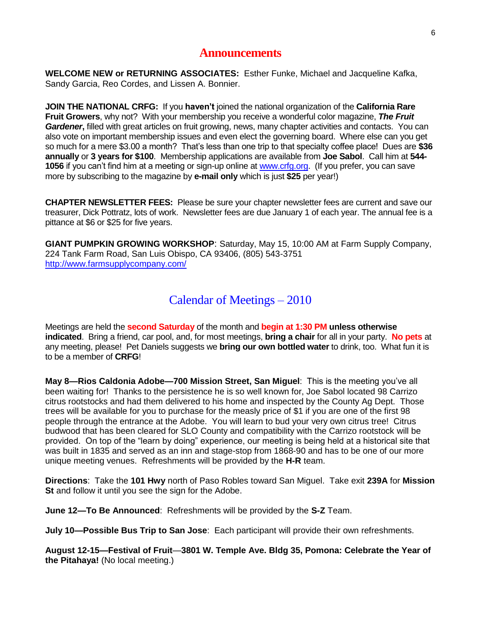#### **Announcements**

**WELCOME NEW or RETURNING ASSOCIATES:** Esther Funke, Michael and Jacqueline Kafka, Sandy Garcia, Reo Cordes, and Lissen A. Bonnier.

**JOIN THE NATIONAL CRFG:** If you **haven't** joined the national organization of the **California Rare Fruit Growers**, why not? With your membership you receive a wonderful color magazine, *The Fruit Gardener***,** filled with great articles on fruit growing, news, many chapter activities and contacts. You can also vote on important membership issues and even elect the governing board. Where else can you get so much for a mere \$3.00 a month? That's less than one trip to that specialty coffee place! Dues are **\$36 annually** or **3 years for \$100**. Membership applications are available from **Joe Sabol**. Call him at **544- 1056** if you can't find him at a meeting or sign-up online at [www.crfg.org.](http://www.crfg.org/) (If you prefer, you can save more by subscribing to the magazine by **e-mail only** which is just **\$25** per year!)

**CHAPTER NEWSLETTER FEES:** Please be sure your chapter newsletter fees are current and save our treasurer, Dick Pottratz, lots of work. Newsletter fees are due January 1 of each year. The annual fee is a pittance at \$6 or \$25 for five years.

**GIANT PUMPKIN GROWING WORKSHOP**: Saturday, May 15, 10:00 AM at Farm Supply Company, 224 Tank Farm Road, San Luis Obispo, CA 93406, (805) 543-3751 <http://www.farmsupplycompany.com/>

## Calendar of Meetings – 2010

Meetings are held the **second Saturday** of the month and **begin at 1:30 PM unless otherwise indicated**. Bring a friend, car pool, and, for most meetings, **bring a chair** for all in your party. **No pets** at any meeting, please! Pet Daniels suggests we **bring our own bottled water** to drink, too. What fun it is to be a member of **CRFG**!

**May 8—Rios Caldonia Adobe—700 Mission Street, San Miguel**: This is the meeting you've all been waiting for! Thanks to the persistence he is so well known for, Joe Sabol located 98 Carrizo citrus rootstocks and had them delivered to his home and inspected by the County Ag Dept. Those trees will be available for you to purchase for the measly price of \$1 if you are one of the first 98 people through the entrance at the Adobe. You will learn to bud your very own citrus tree! Citrus budwood that has been cleared for SLO County and compatibility with the Carrizo rootstock will be provided. On top of the "learn by doing" experience, our meeting is being held at a historical site that was built in 1835 and served as an inn and stage-stop from 1868-90 and has to be one of our more unique meeting venues. Refreshments will be provided by the **H-R** team.

**Directions**: Take the **101 Hwy** north of Paso Robles toward San Miguel. Take exit **239A** for **Mission St** and follow it until you see the sign for the Adobe.

**June 12—To Be Announced**: Refreshments will be provided by the **S-Z** Team.

**July 10—Possible Bus Trip to San Jose**: Each participant will provide their own refreshments.

**August 12-15—Festival of Fruit**—**3801 W. Temple Ave. Bldg 35, Pomona: Celebrate the Year of the Pitahaya!** (No local meeting.)